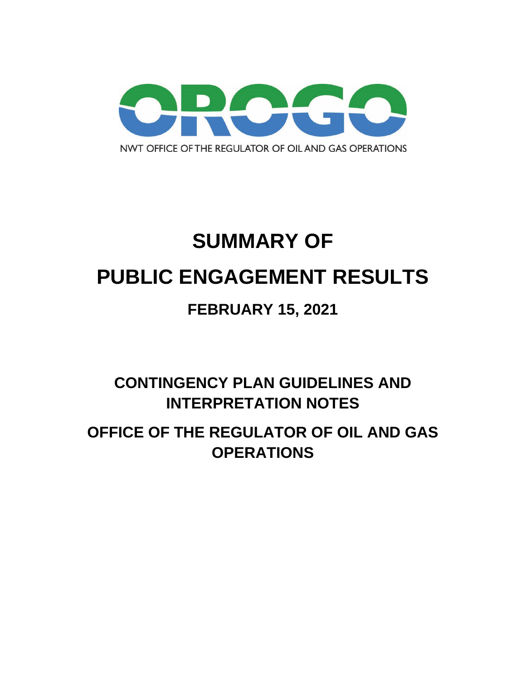

# **SUMMARY OF PUBLIC ENGAGEMENT RESULTS**

# **FEBRUARY 15, 2021**

**CONTINGENCY PLAN GUIDELINES AND INTERPRETATION NOTES**

**OFFICE OF THE REGULATOR OF OIL AND GAS OPERATIONS**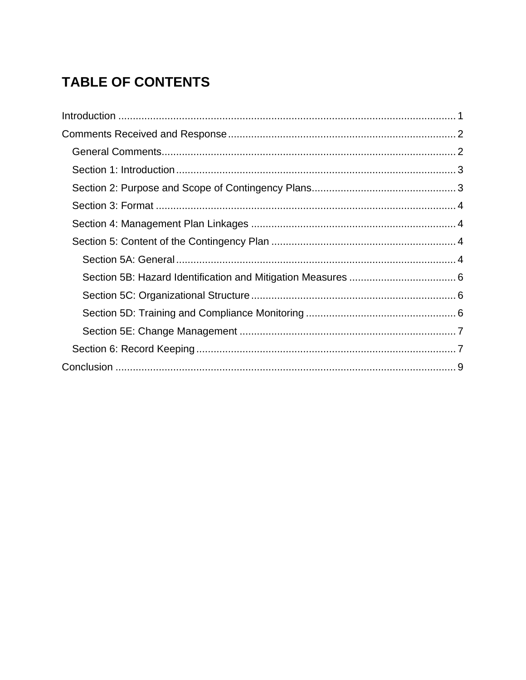# **TABLE OF CONTENTS**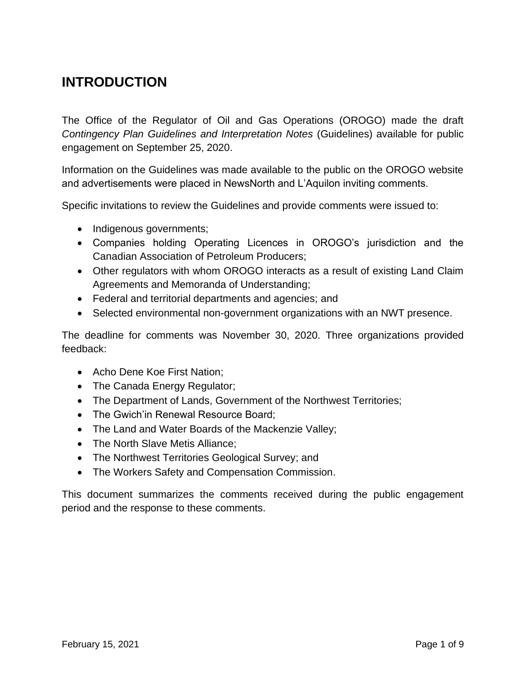### <span id="page-2-0"></span>**INTRODUCTION**

The Office of the Regulator of Oil and Gas Operations (OROGO) made the draft *Contingency Plan Guidelines and Interpretation Notes* (Guidelines) available for public engagement on September 25, 2020.

Information on the Guidelines was made available to the public on the OROGO website and advertisements were placed in NewsNorth and L'Aquilon inviting comments.

Specific invitations to review the Guidelines and provide comments were issued to:

- Indigenous governments;
- Companies holding Operating Licences in OROGO's jurisdiction and the Canadian Association of Petroleum Producers;
- Other regulators with whom OROGO interacts as a result of existing Land Claim Agreements and Memoranda of Understanding;
- Federal and territorial departments and agencies; and
- Selected environmental non-government organizations with an NWT presence.

The deadline for comments was November 30, 2020. Three organizations provided feedback:

- Acho Dene Koe First Nation;
- The Canada Energy Regulator;
- The Department of Lands, Government of the Northwest Territories;
- The Gwich'in Renewal Resource Board;
- The Land and Water Boards of the Mackenzie Valley;
- The North Slave Metis Alliance;
- The Northwest Territories Geological Survey; and
- The Workers Safety and Compensation Commission.

This document summarizes the comments received during the public engagement period and the response to these comments.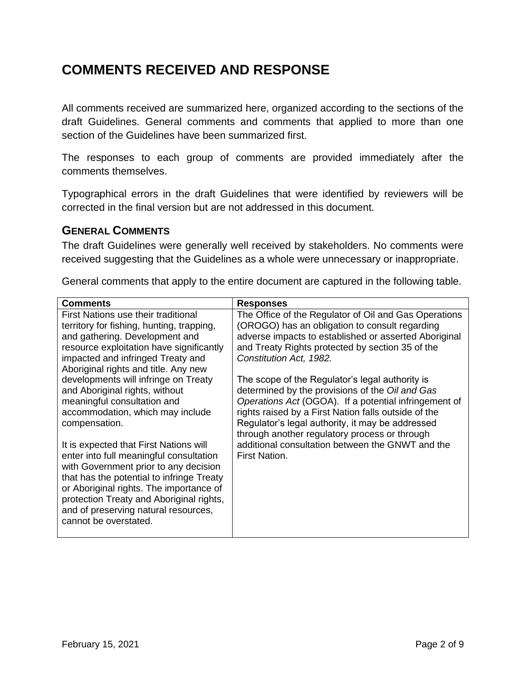### <span id="page-3-0"></span>**COMMENTS RECEIVED AND RESPONSE**

All comments received are summarized here, organized according to the sections of the draft Guidelines. General comments and comments that applied to more than one section of the Guidelines have been summarized first.

The responses to each group of comments are provided immediately after the comments themselves.

Typographical errors in the draft Guidelines that were identified by reviewers will be corrected in the final version but are not addressed in this document.

#### <span id="page-3-1"></span>**GENERAL COMMENTS**

The draft Guidelines were generally well received by stakeholders. No comments were received suggesting that the Guidelines as a whole were unnecessary or inappropriate.

|  |  | General comments that apply to the entire document are captured in the following table. |  |  |
|--|--|-----------------------------------------------------------------------------------------|--|--|
|  |  |                                                                                         |  |  |
|  |  |                                                                                         |  |  |

| <b>Comments</b>                           | <b>Responses</b>                                      |
|-------------------------------------------|-------------------------------------------------------|
| First Nations use their traditional       | The Office of the Regulator of Oil and Gas Operations |
| territory for fishing, hunting, trapping, | (OROGO) has an obligation to consult regarding        |
| and gathering. Development and            | adverse impacts to established or asserted Aboriginal |
| resource exploitation have significantly  | and Treaty Rights protected by section 35 of the      |
| impacted and infringed Treaty and         | Constitution Act, 1982.                               |
| Aboriginal rights and title. Any new      |                                                       |
| developments will infringe on Treaty      | The scope of the Regulator's legal authority is       |
| and Aboriginal rights, without            | determined by the provisions of the Oil and Gas       |
| meaningful consultation and               | Operations Act (OGOA). If a potential infringement of |
| accommodation, which may include          | rights raised by a First Nation falls outside of the  |
| compensation.                             | Regulator's legal authority, it may be addressed      |
|                                           | through another regulatory process or through         |
| It is expected that First Nations will    | additional consultation between the GNWT and the      |
| enter into full meaningful consultation   | <b>First Nation.</b>                                  |
| with Government prior to any decision     |                                                       |
| that has the potential to infringe Treaty |                                                       |
| or Aboriginal rights. The importance of   |                                                       |
| protection Treaty and Aboriginal rights,  |                                                       |
| and of preserving natural resources,      |                                                       |
| cannot be overstated.                     |                                                       |
|                                           |                                                       |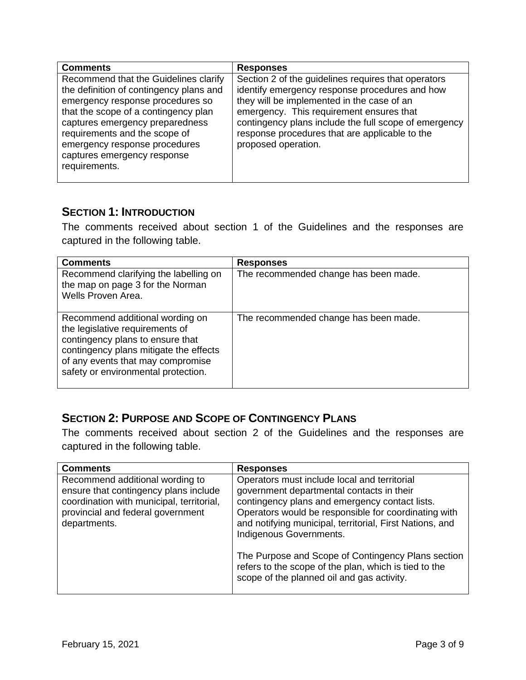| <b>Comments</b>                                                                                                                                                                                                                                                                                                   | <b>Responses</b>                                                                                                                                                                                                                                                                                                                  |
|-------------------------------------------------------------------------------------------------------------------------------------------------------------------------------------------------------------------------------------------------------------------------------------------------------------------|-----------------------------------------------------------------------------------------------------------------------------------------------------------------------------------------------------------------------------------------------------------------------------------------------------------------------------------|
| Recommend that the Guidelines clarify<br>the definition of contingency plans and<br>emergency response procedures so<br>that the scope of a contingency plan<br>captures emergency preparedness<br>requirements and the scope of<br>emergency response procedures<br>captures emergency response<br>requirements. | Section 2 of the guidelines requires that operators<br>identify emergency response procedures and how<br>they will be implemented in the case of an<br>emergency. This requirement ensures that<br>contingency plans include the full scope of emergency<br>response procedures that are applicable to the<br>proposed operation. |

#### <span id="page-4-0"></span>**SECTION 1: INTRODUCTION**

The comments received about section 1 of the Guidelines and the responses are captured in the following table.

| <b>Comments</b>                                                                                                                                                                                                              | <b>Responses</b>                      |
|------------------------------------------------------------------------------------------------------------------------------------------------------------------------------------------------------------------------------|---------------------------------------|
| Recommend clarifying the labelling on<br>the map on page 3 for the Norman<br>Wells Proven Area.                                                                                                                              | The recommended change has been made. |
| Recommend additional wording on<br>the legislative requirements of<br>contingency plans to ensure that<br>contingency plans mitigate the effects<br>of any events that may compromise<br>safety or environmental protection. | The recommended change has been made. |

#### <span id="page-4-1"></span>**SECTION 2: PURPOSE AND SCOPE OF CONTINGENCY PLANS**

The comments received about section 2 of the Guidelines and the responses are captured in the following table.

| <b>Comments</b>                                                                                                                                                            | <b>Responses</b>                                                                                                                                                                                                                                                                                                                                                                                                                                        |
|----------------------------------------------------------------------------------------------------------------------------------------------------------------------------|---------------------------------------------------------------------------------------------------------------------------------------------------------------------------------------------------------------------------------------------------------------------------------------------------------------------------------------------------------------------------------------------------------------------------------------------------------|
| Recommend additional wording to<br>ensure that contingency plans include<br>coordination with municipal, territorial,<br>provincial and federal government<br>departments. | Operators must include local and territorial<br>government departmental contacts in their<br>contingency plans and emergency contact lists.<br>Operators would be responsible for coordinating with<br>and notifying municipal, territorial, First Nations, and<br>Indigenous Governments.<br>The Purpose and Scope of Contingency Plans section<br>refers to the scope of the plan, which is tied to the<br>scope of the planned oil and gas activity. |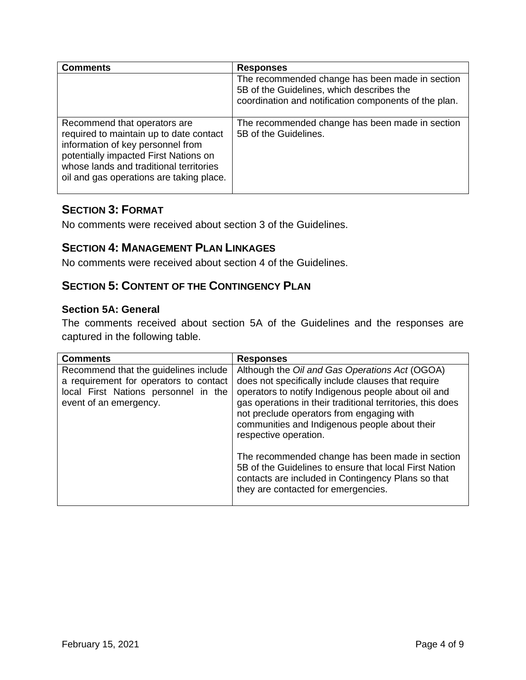| <b>Comments</b>                                                                                                                                                                                                                              | <b>Responses</b>                                                                                                                                      |
|----------------------------------------------------------------------------------------------------------------------------------------------------------------------------------------------------------------------------------------------|-------------------------------------------------------------------------------------------------------------------------------------------------------|
|                                                                                                                                                                                                                                              | The recommended change has been made in section<br>5B of the Guidelines, which describes the<br>coordination and notification components of the plan. |
| Recommend that operators are<br>required to maintain up to date contact<br>information of key personnel from<br>potentially impacted First Nations on<br>whose lands and traditional territories<br>oil and gas operations are taking place. | The recommended change has been made in section<br>5B of the Guidelines.                                                                              |

#### <span id="page-5-0"></span>**SECTION 3: FORMAT**

No comments were received about section 3 of the Guidelines.

#### <span id="page-5-1"></span>**SECTION 4: MANAGEMENT PLAN LINKAGES**

No comments were received about section 4 of the Guidelines.

#### <span id="page-5-2"></span>**SECTION 5: CONTENT OF THE CONTINGENCY PLAN**

#### <span id="page-5-3"></span>**Section 5A: General**

The comments received about section 5A of the Guidelines and the responses are captured in the following table.

| <b>Comments</b>                                                                                                                                   | <b>Responses</b>                                                                                                                                                                                                                                                                                                                                 |
|---------------------------------------------------------------------------------------------------------------------------------------------------|--------------------------------------------------------------------------------------------------------------------------------------------------------------------------------------------------------------------------------------------------------------------------------------------------------------------------------------------------|
| Recommend that the guidelines include<br>a requirement for operators to contact<br>local First Nations personnel in the<br>event of an emergency. | Although the Oil and Gas Operations Act (OGOA)<br>does not specifically include clauses that require<br>operators to notify Indigenous people about oil and<br>gas operations in their traditional territories, this does<br>not preclude operators from engaging with<br>communities and Indigenous people about their<br>respective operation. |
|                                                                                                                                                   | The recommended change has been made in section<br>5B of the Guidelines to ensure that local First Nation<br>contacts are included in Contingency Plans so that<br>they are contacted for emergencies.                                                                                                                                           |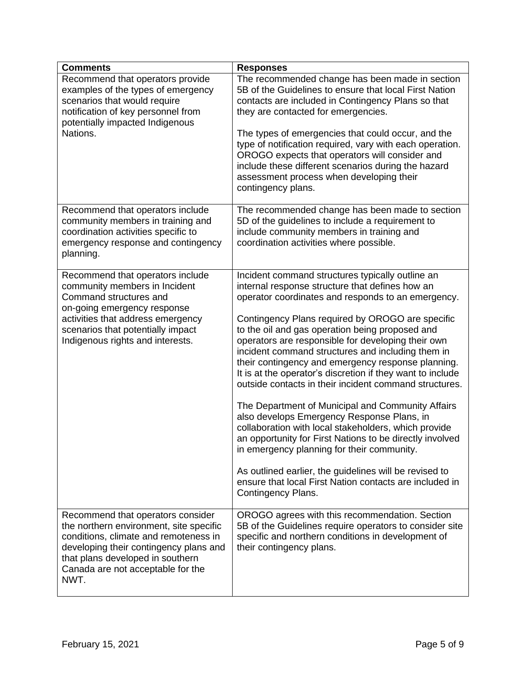| <b>Comments</b>                                                                                                                                                                                                                                  | <b>Responses</b>                                                                                                                                                                                                                                                                                                                                                                                                                                                                                                                                                                                                                                                                                                                                                                                                                                                                                                                                                          |
|--------------------------------------------------------------------------------------------------------------------------------------------------------------------------------------------------------------------------------------------------|---------------------------------------------------------------------------------------------------------------------------------------------------------------------------------------------------------------------------------------------------------------------------------------------------------------------------------------------------------------------------------------------------------------------------------------------------------------------------------------------------------------------------------------------------------------------------------------------------------------------------------------------------------------------------------------------------------------------------------------------------------------------------------------------------------------------------------------------------------------------------------------------------------------------------------------------------------------------------|
| Recommend that operators provide<br>examples of the types of emergency<br>scenarios that would require<br>notification of key personnel from<br>potentially impacted Indigenous<br>Nations.                                                      | The recommended change has been made in section<br>5B of the Guidelines to ensure that local First Nation<br>contacts are included in Contingency Plans so that<br>they are contacted for emergencies.<br>The types of emergencies that could occur, and the<br>type of notification required, vary with each operation.<br>OROGO expects that operators will consider and<br>include these different scenarios during the hazard<br>assessment process when developing their<br>contingency plans.                                                                                                                                                                                                                                                                                                                                                                                                                                                                       |
| Recommend that operators include<br>community members in training and<br>coordination activities specific to<br>emergency response and contingency<br>planning.                                                                                  | The recommended change has been made to section<br>5D of the guidelines to include a requirement to<br>include community members in training and<br>coordination activities where possible.                                                                                                                                                                                                                                                                                                                                                                                                                                                                                                                                                                                                                                                                                                                                                                               |
| Recommend that operators include<br>community members in Incident<br>Command structures and<br>on-going emergency response<br>activities that address emergency<br>scenarios that potentially impact<br>Indigenous rights and interests.         | Incident command structures typically outline an<br>internal response structure that defines how an<br>operator coordinates and responds to an emergency.<br>Contingency Plans required by OROGO are specific<br>to the oil and gas operation being proposed and<br>operators are responsible for developing their own<br>incident command structures and including them in<br>their contingency and emergency response planning.<br>It is at the operator's discretion if they want to include<br>outside contacts in their incident command structures.<br>The Department of Municipal and Community Affairs<br>also develops Emergency Response Plans, in<br>collaboration with local stakeholders, which provide<br>an opportunity for First Nations to be directly involved<br>in emergency planning for their community.<br>As outlined earlier, the guidelines will be revised to<br>ensure that local First Nation contacts are included in<br>Contingency Plans. |
| Recommend that operators consider<br>the northern environment, site specific<br>conditions, climate and remoteness in<br>developing their contingency plans and<br>that plans developed in southern<br>Canada are not acceptable for the<br>NWT. | OROGO agrees with this recommendation. Section<br>5B of the Guidelines require operators to consider site<br>specific and northern conditions in development of<br>their contingency plans.                                                                                                                                                                                                                                                                                                                                                                                                                                                                                                                                                                                                                                                                                                                                                                               |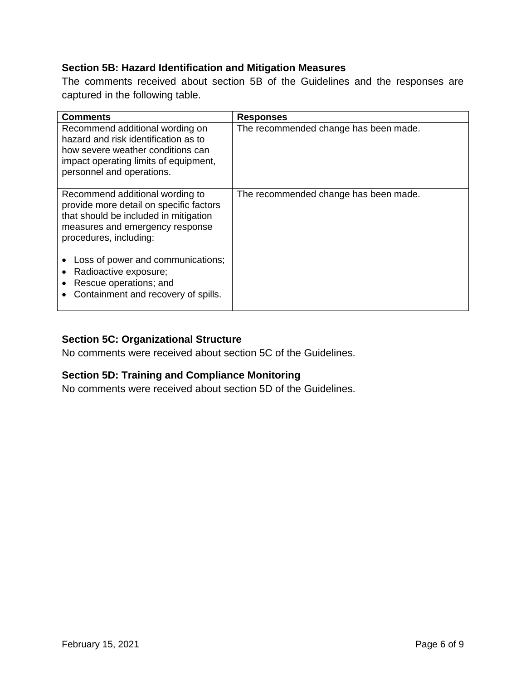#### <span id="page-7-0"></span>**Section 5B: Hazard Identification and Mitigation Measures**

The comments received about section 5B of the Guidelines and the responses are captured in the following table.

| <b>Comments</b>                                                                                                                                                                    | <b>Responses</b>                      |
|------------------------------------------------------------------------------------------------------------------------------------------------------------------------------------|---------------------------------------|
| Recommend additional wording on<br>hazard and risk identification as to<br>how severe weather conditions can<br>impact operating limits of equipment,<br>personnel and operations. | The recommended change has been made. |
| Recommend additional wording to<br>provide more detail on specific factors<br>that should be included in mitigation<br>measures and emergency response<br>procedures, including:   | The recommended change has been made. |
| Loss of power and communications;<br>Radioactive exposure;<br>Rescue operations; and<br>Containment and recovery of spills.                                                        |                                       |

#### <span id="page-7-1"></span>**Section 5C: Organizational Structure**

No comments were received about section 5C of the Guidelines.

#### <span id="page-7-2"></span>**Section 5D: Training and Compliance Monitoring**

No comments were received about section 5D of the Guidelines.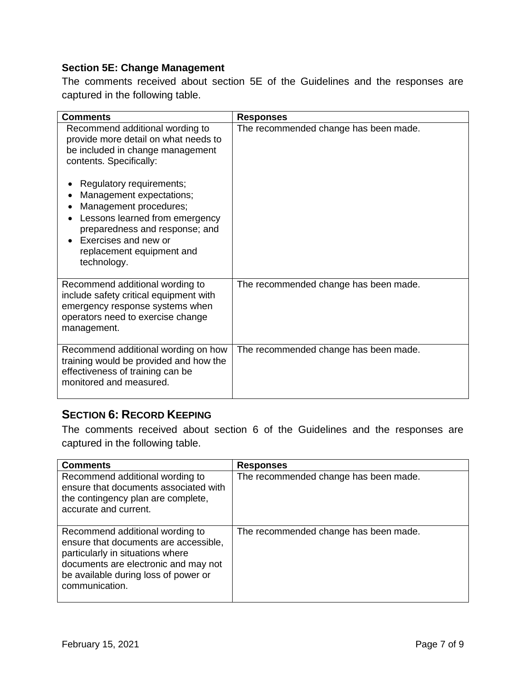#### <span id="page-8-0"></span>**Section 5E: Change Management**

The comments received about section 5E of the Guidelines and the responses are captured in the following table.

| <b>Comments</b>                                                                                                                                                                                                        | <b>Responses</b>                      |
|------------------------------------------------------------------------------------------------------------------------------------------------------------------------------------------------------------------------|---------------------------------------|
| Recommend additional wording to<br>provide more detail on what needs to<br>be included in change management<br>contents. Specifically:                                                                                 | The recommended change has been made. |
| Regulatory requirements;<br>Management expectations;<br>Management procedures;<br>Lessons learned from emergency<br>preparedness and response; and<br>Exercises and new or<br>replacement equipment and<br>technology. |                                       |
| Recommend additional wording to<br>include safety critical equipment with<br>emergency response systems when<br>operators need to exercise change<br>management.                                                       | The recommended change has been made. |
| Recommend additional wording on how<br>training would be provided and how the<br>effectiveness of training can be<br>monitored and measured.                                                                           | The recommended change has been made. |

#### <span id="page-8-1"></span>**SECTION 6: RECORD KEEPING**

The comments received about section 6 of the Guidelines and the responses are captured in the following table.

| <b>Comments</b>                                                                                                                                                                                                | <b>Responses</b>                      |
|----------------------------------------------------------------------------------------------------------------------------------------------------------------------------------------------------------------|---------------------------------------|
| Recommend additional wording to<br>ensure that documents associated with<br>the contingency plan are complete,<br>accurate and current.                                                                        | The recommended change has been made. |
| Recommend additional wording to<br>ensure that documents are accessible,<br>particularly in situations where<br>documents are electronic and may not<br>be available during loss of power or<br>communication. | The recommended change has been made. |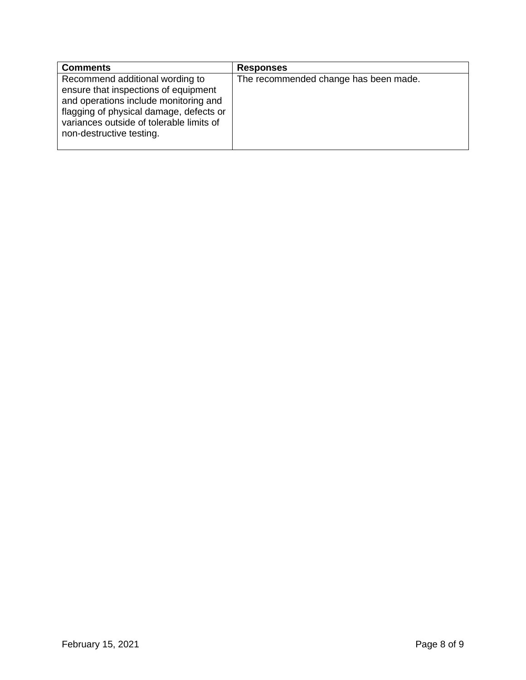| <b>Comments</b>                                                                                                                                                                                                                     | <b>Responses</b>                      |
|-------------------------------------------------------------------------------------------------------------------------------------------------------------------------------------------------------------------------------------|---------------------------------------|
| Recommend additional wording to<br>ensure that inspections of equipment<br>and operations include monitoring and<br>flagging of physical damage, defects or<br>variances outside of tolerable limits of<br>non-destructive testing. | The recommended change has been made. |